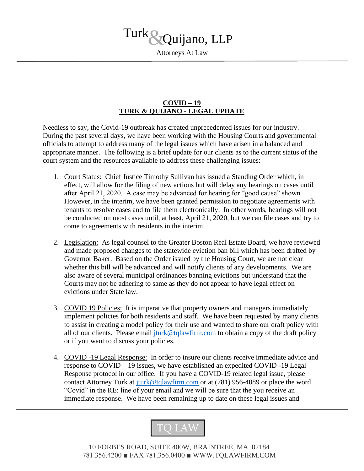

## **COVID – 19 TURK & QUIJANO - LEGAL UPDATE**

Needless to say, the Covid-19 outbreak has created unprecedented issues for our industry. During the past several days, we have been working with the Housing Courts and governmental officials to attempt to address many of the legal issues which have arisen in a balanced and appropriate manner. The following is a brief update for our clients as to the current status of the court system and the resources available to address these challenging issues:

- 1. Court Status: Chief Justice Timothy Sullivan has issued a Standing Order which, in effect, will allow for the filing of new actions but will delay any hearings on cases until after April 21, 2020. A case may be advanced for hearing for "good cause" shown. However, in the interim, we have been granted permission to negotiate agreements with tenants to resolve cases and to file them electronically. In other words, hearings will not be conducted on most cases until, at least, April 21, 2020, but we can file cases and try to come to agreements with residents in the interim.
- 2. Legislation: As legal counsel to the Greater Boston Real Estate Board, we have reviewed and made proposed changes to the statewide eviction ban bill which has been drafted by Governor Baker. Based on the Order issued by the Housing Court, we are not clear whether this bill will be advanced and will notify clients of any developments. We are also aware of several municipal ordinances banning evictions but understand that the Courts may not be adhering to same as they do not appear to have legal effect on evictions under State law.
- 3. COVID 19 Policies: It is imperative that property owners and managers immediately implement policies for both residents and staff. We have been requested by many clients to assist in creating a model policy for their use and wanted to share our draft policy with all of our clients. Please email  $\frac{1}{1}$ turk@tqlawfirm.com to obtain a copy of the draft policy or if you want to discuss your policies.
- 4. COVID -19 Legal Response: In order to insure our clients receive immediate advice and response to COVID – 19 issues, we have established an expedited COVID -19 Legal Response protocol in our office. If you have a COVID-19 related legal issue, please contact Attorney Turk at *jturk@tqlawfirm.com* or at (781) 956-4089 or place the word "Covid" in the RE: line of your email and we will be sure that the you receive an immediate response. We have been remaining up to date on these legal issues and



10 FORBES ROAD, SUITE 400W, BRAINTREE, MA 02184 781.356.4200 ■ FAX 781.356.0400 ■ WWW.TQLAWFIRM.COM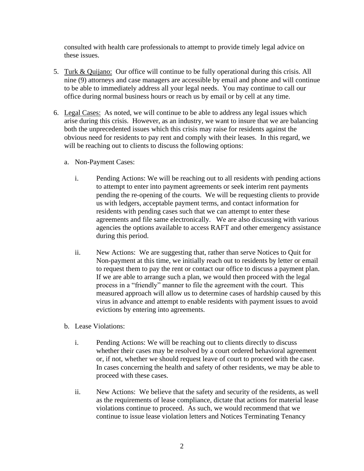consulted with health care professionals to attempt to provide timely legal advice on these issues.

- 5. Turk & Quijano: Our office will continue to be fully operational during this crisis. All nine (9) attorneys and case managers are accessible by email and phone and will continue to be able to immediately address all your legal needs. You may continue to call our office during normal business hours or reach us by email or by cell at any time.
- 6. Legal Cases: As noted, we will continue to be able to address any legal issues which arise during this crisis. However, as an industry, we want to insure that we are balancing both the unprecedented issues which this crisis may raise for residents against the obvious need for residents to pay rent and comply with their leases. In this regard, we will be reaching out to clients to discuss the following options:
	- a. Non-Payment Cases:
		- i. Pending Actions: We will be reaching out to all residents with pending actions to attempt to enter into payment agreements or seek interim rent payments pending the re-opening of the courts. We will be requesting clients to provide us with ledgers, acceptable payment terms, and contact information for residents with pending cases such that we can attempt to enter these agreements and file same electronically. We are also discussing with various agencies the options available to access RAFT and other emergency assistance during this period.
		- ii. New Actions: We are suggesting that, rather than serve Notices to Quit for Non-payment at this time, we initially reach out to residents by letter or email to request them to pay the rent or contact our office to discuss a payment plan. If we are able to arrange such a plan, we would then proceed with the legal process in a "friendly" manner to file the agreement with the court. This measured approach will allow us to determine cases of hardship caused by this virus in advance and attempt to enable residents with payment issues to avoid evictions by entering into agreements.
	- b. Lease Violations:
		- i. Pending Actions: We will be reaching out to clients directly to discuss whether their cases may be resolved by a court ordered behavioral agreement or, if not, whether we should request leave of court to proceed with the case. In cases concerning the health and safety of other residents, we may be able to proceed with these cases.
		- ii. New Actions: We believe that the safety and security of the residents, as well as the requirements of lease compliance, dictate that actions for material lease violations continue to proceed. As such, we would recommend that we continue to issue lease violation letters and Notices Terminating Tenancy